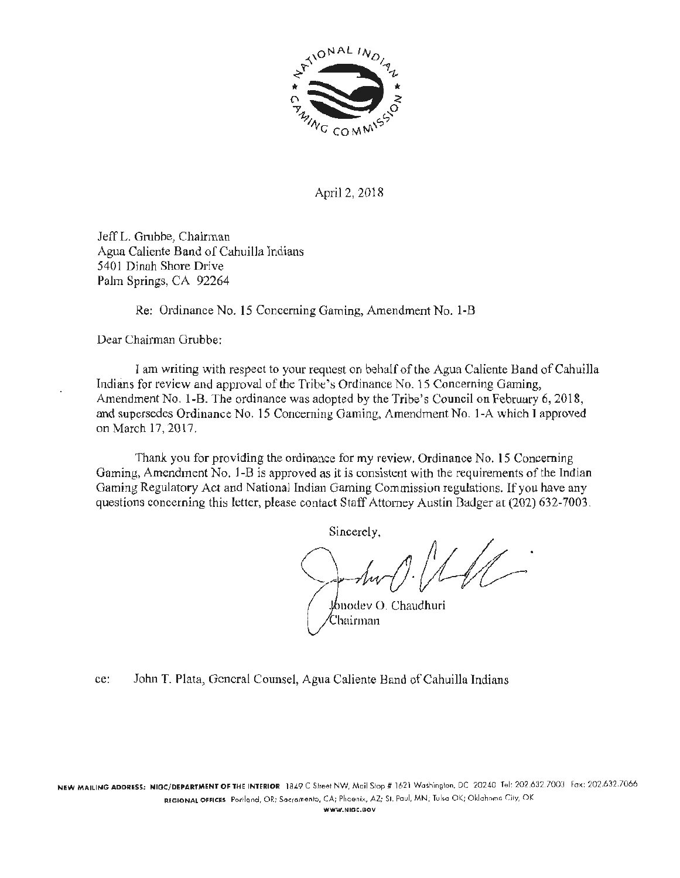

April 2, 2018

Jeff L. Grubbe, Chairman Agua Caliente Band of Cahuilla Indians 5401 Dinah Shore Drive Palm Springs, CA 92264

Re: Ordinance No. 15 Concerning Gaming, Amendment No. 1-B

Dear Chairman Grubbe:

I am writing with respect to your reqnest on behalf of the Agua Caliente Band of Cahuilla Indians for review and approval of the Tribe's Ordinance No. 15 Concerning Gaming, Amendment No. 1-B. The ordinance was adopted by the Tribe's Council on February 6, 2018, and supersedes Ordinance No. 15 Concerning Gaming, Amendment No. 1-A which 1 approved on March 17, 2017.

Thank you for providing the ordinance for my review. Ordinance No. 15 Concerning Gaming, Amendment No. 1-B is approved as it is consistent with the requirements of the Indian Gaming Regulatory Act and National Indian Gaming Commission regulations. If you have any questions concerning this letter, please contact Staff Attorney Austin Badger at (202) 632-7003.

Sincerely,

lbnodev O. Chaudhuri Chairman

cc: John T. Plata, General Counsel, Agua Caliente Band of Cahuilla Indians

NEW MAILING ADDRESS: NIGC/DEPARTMENT OF THE INTERIOR 1849 C Street NW, Mail Stop # 1621 Washington, DC 20240 Tel: 202.632.7003 Fax: 202.632.7066 REGIONAL OFFICES Portland, OR; Sacramento, CA; Phoenix, AZ; SI. Paul, MN; Tulsa OK; Oklahoma City, OK WWW.l'llOC.GOV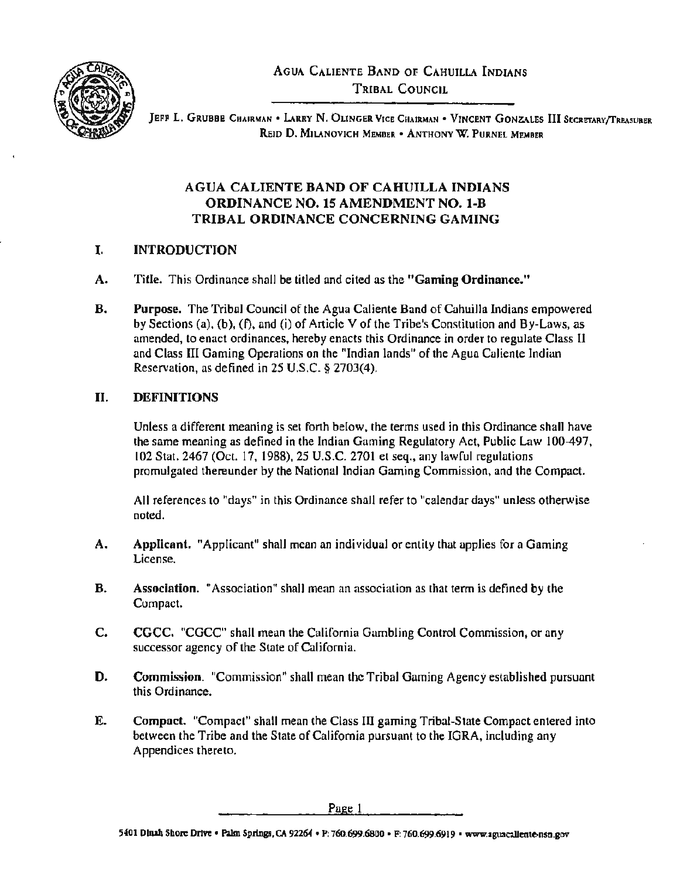AGUA CALIENTE BAND OF CAHUILLA INDIANS TRIBAL COUNCIL



JEFF L. GRUBBE CHAIRMAN • LARRY N. OLINGER VICE CHAIRMAN • VINCENT GONZALES III SECRETARY/TREASURER REID D. MILANOVICH MEMBER • ANTHONY W. PURNEL MEMBER

### AGUA CALIENTE BAND OF CAHUILLA INDIANS ORDINANCE NO. 15 AMENDMENT NO. 1-B TRIBAL ORDINANCE CONCERNING GAMING

#### I. INTRODUCTION

- A. Title. This Ordinance shall be titled and cited as the "Gaming Ordinance."
- B. Purpose. The Tribal Council of the Agua Caliente Band of Cahuilla Indians empowered by Sections (a), {b), (f). and (i) of Article V of the Tribe's Constitution and By-Laws, as amended, to enact ordinances, hereby enacts this Ordinance in order to regulate Class II and Class III Gaming Operations on the "Indian lands" of the Agua Caliente Indian Reservation. as defined in 25 U.S.C. § 2703(4).

#### II. DEFINITIONS

Unless a different meaning is set forth below. the terms used in this Ordinance shall have the same meaning as defined in the Indian Gaming Regulatory Act, Public Law 100-497. I02 Stat. 2467 (Oct. 17, 1988), 25 U.S.C. 2701 et seq .. any lawful regulations promulgated thereunder by the National Indian Gaming Commission. and the Compact.

All references to "days" in this Ordinance shall refer to "calendar days" unless otherwise noted.

- A. Applicant. "Applicant" shall mean an individual or entity that applies for a Gaming License.
- B. Association. "Association" shall mean an association as that term is defined by the Compact.
- C. CGCC. "CGCC" shall mean the California Gambling Control Commission. or any successor agency of the State of California.
- D. Commission. "Commission" shall mean the Tribal Gaming Agency established pursuant this Ordinance.
- E. Compact. "Compact" shall mean the Class III gaming Tribal-State Compact entered into between the Tribe and the State of California pursuant to the IGRA, including any Appendices lhereto.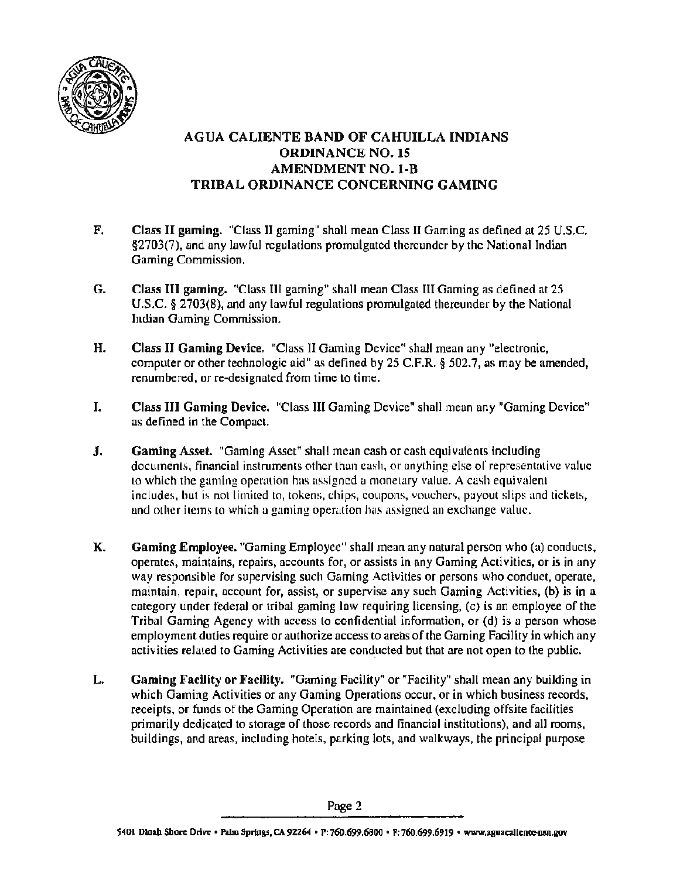

- F. Class II gaming. ''Class II gaming" shall mean Class II Gaming as defined at 25 U.S.C. §2703(7), and any lawful regulations promulgated thereunder by the National Indian Gaming Commission.
- G. Class III gaming. "Class III gaming" shall mean Class III Gaming as defined at 25 U.S.C. § 2703(8), and any lawful regulations promulgated thereunder by the National Indian Gaming Commission.
- H. Class II Gaming Device. "Class II Gaming Device" shall mean any "electronic, computer or other technologic aid" as defined by 25 C.F.R. § 502.7, as may be amended, renumbered, or re-designated from time to time.
- I. Class Ill Gaming Device. "Class Ill Gaming Device" shall mean any "Gaming Device" as defined in the Compact.
- J. Gaming Asset. "Gaming Asset" shall mean cash or cash equivatents including documents, financial instruments other than cash, or anything else of representative value to which the gaming operation has assigned a monetary value. A cash equivalent includes, but is not limited to, tokens, chips, coupons, vouchers, puyout slips and tickets, and other items to which a gaming operation has assigned an exchange value.
- K. Gaming Employee. "Gaming Employee" shall mean any natural person who (a) conducts. operates, maintains, repairs. accounts for, or assists in any Gaming Activities, or is in any way responsible for supervising such Gaming Activities or persons who conduct, operate, maintain, repair. account for, assist, or supervise any such Gaming Activities, (b) is in a category under federal or tribal gaming law requiring licensing, (c) is an employee of the Tribal Gaming Agency with access to confidential information, or (d) is a person whose employment duties require or authorize access to areas of the Gaming Facility in which any activities related to Gaming Activities are conducted but that are not open to the public.
- L. Gaming Facility or Facility. "Gaming Facility" or "Facility" shall mean any building in which Gaming Activities or any Gaming Operations occur, or in which business records, receipts, or funds of the Gaming Operation are maintained (excluding offsite facilities primarily dedicated to storage of those records and financial institutions). and alJ rooms, buildings, and areas, including hotels, parking lots, and walkways, the principal purpose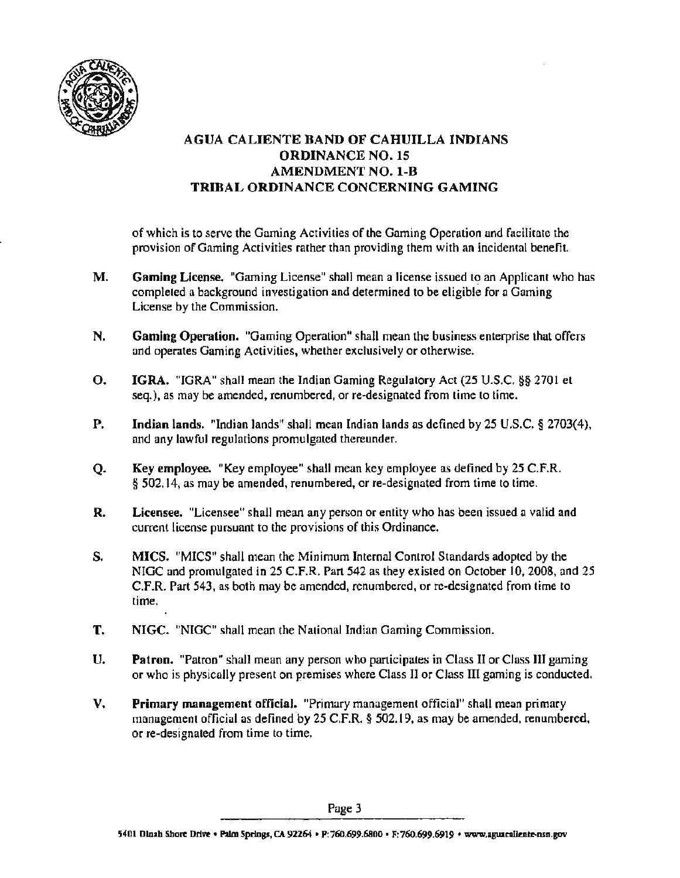

of which is to serve the Gaming Activities of the Gaming Operation and facililate the provision of Gaming Activities rather than providing them with an incidental benefit.

- M. Gaming License. "Gaming License" shall mean a license issued to an Applicant who has completed a background investigation and determined to be eligible for a Gaming License by the Commission.
- N. Gaming Operation. "Gaming Operation" shall mean the business enterprise that offers and operates Gaming Activities, whether exclusively or otherwise.
- O. IGRA. "JGRA" shall mean the Indian Gaming Regulatory Act (25 U.S.C. §§ 2701 et seq.), as may be amended, renumbered, or re-designated from time to time.
- P. Indian lands. "Indian lands" shall mean Indian lands as defined by 25 U.S.C. § 2703(4). and any lawful regulations promulgated thereunder.
- Q. Key employee. "Key employee" shall mean key employee as defined by 25 C.F.R. § 502.14. as may be amended. renumbered. or re-designated from time to time.
- R. Licensee. "Licensee" shall mean any person or entity who has been issued a valid and current license pursuant to the provisions of this Ordinance.
- S. MICS. "MICS" shall mean the Minimum Internal Comrol Standards adopted by the NIGC and promulgated in 25 C.F.R. Part 542 as they existed on October 10, 2008, and 25 C.F.R. Part 543, as both may be amended, renumbered, or re-designated from time to time.
- T. NIGC. "NIGC" shall mean the National Indian Gaming Commission.
- U. Patron. "Patron" shall mean any person who participates in Class II or Class III gaming or who is physically present on premises where Class II or Class III gaming is conducted.
- V. Primary management official. "Primary management official" shall mean primary management official as defined by 25 C.F.R.  $\S$  502.19, as may be amended, renumbered, or re-designated from time to time.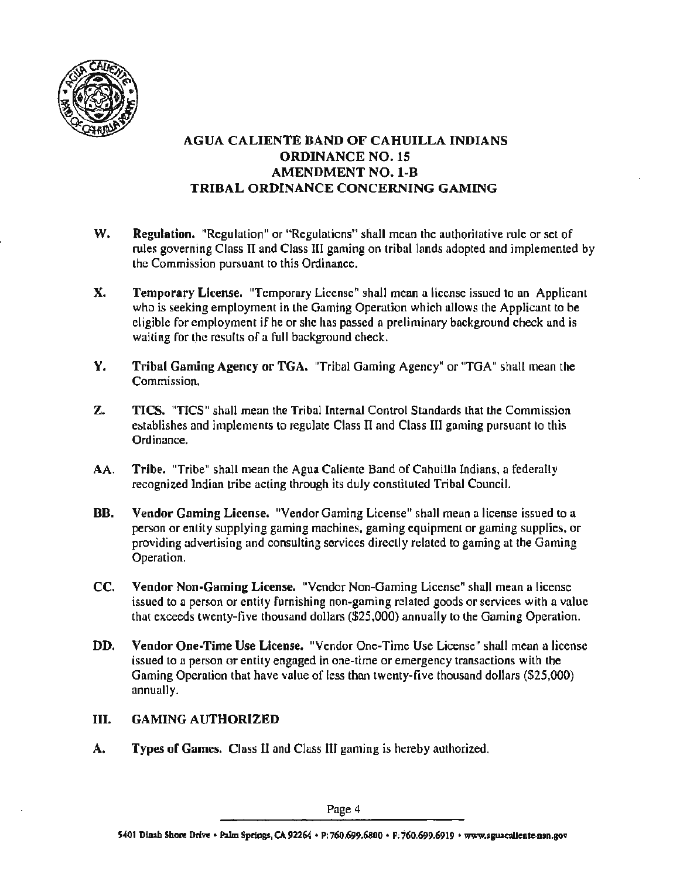

- W. Regulation. "Regulation" or "Regulations" shall mean the authoritative rule or set of rules governing Class II and Class III gaming on tribal lands adopted and implemented by the Commission pursuant to this Ordinance.
- X. Temporary License. "Temporary License" shall mean a license issued to an Applicant who is seeking employment in the Gaming Operation which allows the Applicant to be eligible for employment if he or she has passed a preliminary background check and is waiting for the results of a full background check.
- Y. Tribal Gaming Agency or TGA. "Tribal Gamjng Agency" or "TGA" shall mean the Commission.
- Z. TICS. "TICS" shall mean the Tribal Internal Control Standards that the Commission establishes and implements to regulate Class II and Class III gaming pursuant to this Ordinance.
- AA. Tribe. "Tribe" shall mean the Agua Caliente Band of Cahuilla Indians, a federally recognized Indian tribe acting through its duly constituted Tribal Council.
- BB. Vendor Gaming License. "Vendor Gaming License" shall mean a license issued to a person or entity supplying gaming machines, gaming equipment or gaming supplies, or providing advertising and consulting services directly related to gaming at the Gaming Operation.
- CC. Vendor Non·Gaming License. "Vendor Non-Gaming License" shall mean a license issued to a person or entity furnishing non-gaming related goods or services with a value that exceeds twenty-five thousand dollars (\$25,000) annually to the Gaming Operation.
- DD. Vendor One-Time Use License. "Vendor One-Time Use License" shall mean a license issued to a person or entity engaged in one-time or emergency transactions with the Gaming Operalion that have value of less than twenty-five thousand dollars (\$25.000) annually. The contract of the contract of the contract of the contract of the contract of the contract of the contract of the contract of the contract of the contract of the contract of the contract of the contract of the

#### III. GAMING AUTHORIZED

A. Types of Games. Class II and Class III gaming is hereby authorized.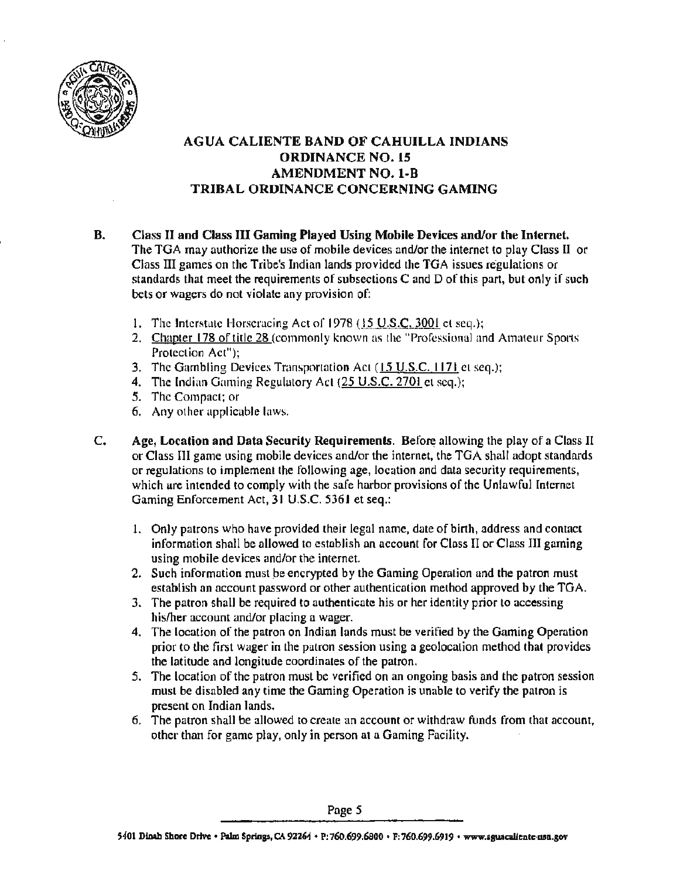

# B. Class II and Class III Gaming Played Using Mobile Devices and/or the Internet.

The TGA may authorize the use of mobile devices and/or the internet to play Class II or Class III games on the Tribe's Indian lands provided the TGA issues regulations or standards that meet the requirements of subsections C and D of this part, but only if such bets or wagers do not violate any provision of:

- 1. The Interstate Horseracing Act of 1978 ( $15 \text{ U.S.C. } 3001$  et seq.);
- 2. Chapter 178 of title 28 (commonly known as the "Professional and Amateur Sports") Protection Act");
- 3. The Gambling Devices Transportation Act  $(15 \text{ U.S.C. } 117)$  et seq.);
- 4. The Indian Gaming Regulatory Act (25 U.S.C. 2701 et seq.);
- 5. The Compact; or
- 6. Any other upplicable luws.
- C. Age, Location and Data Security Requirements. Before allowing the play of a Class II or Class III game using mobile devices and/or the internet, the TGA shalt adopt standards or regulations to implement the following age, location and data security requirements, which are intended to comply with the safe harbor provisions of the Unlawful Internet Gaming Enforcement Act, 31 U.S.C. 5361 et seq.:
	- 1. Only patrons who have provided their legal name, date of birth, address and contact information shall be allowed to establish an account for Class II or Class III gaming using mobile devices and/or the internet.
	- 2. Such information must be encrypted by the Gaming Operation and the patron must establish nn account password or other authentication method approved by the TGA.
	- 3. The patron shall be required to authenticate his or her identity prior to accessing his/her account and/or placing a wager.
	- 4. The location of the patron on Indian lands must be verified by the Gaming Operation prior to the first wager in the patron session using a geolocation method that provides the latitude and longitude coordinates of the patron.
	- 5. The location of the patron must be verified on an ongoing basis and the patron session must be disabled any time the Gaming Operation is unable to verify the patron is present on Indian lands.
	- 6. The patron shall be allowed to create an account or withdraw funds from that account, other than for game play, only in person at a Gaming Facility.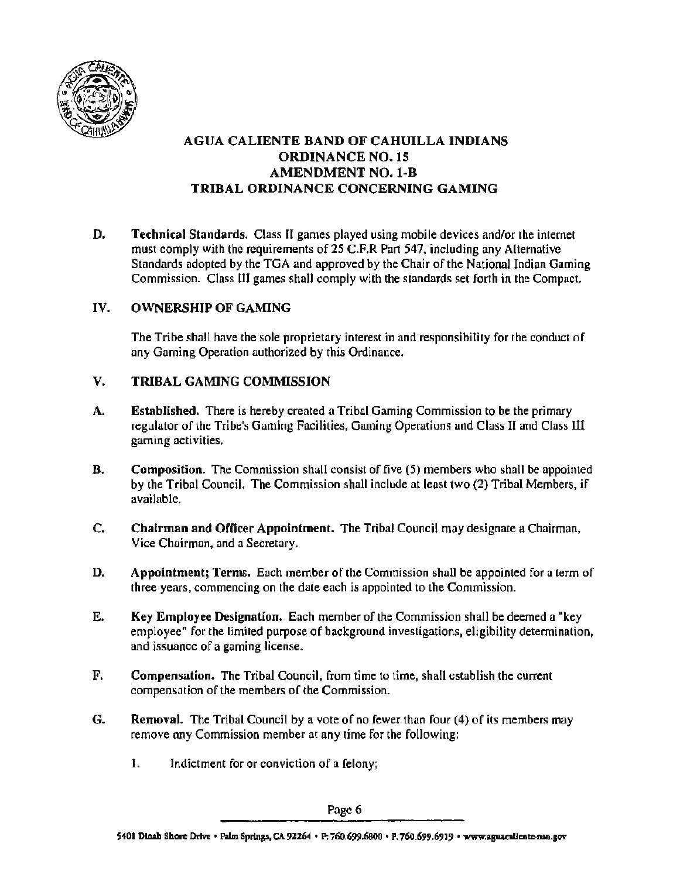

D. Technical Standards. Class II games played using mobile devices and/or the internet must comply with the requirements of 25 C.F.R Part 547, including any Alternative Standards adopted by the TGA and approved by the Chair of the National Indian Gaming Commission. Class UI games shall comply with the standards set forth in the Compact.

#### IV. OWNERSHIP OF GAMING

The Tribe shall have the sole proprietary interest in and responsibility for the conduct of any Gaming Operation authorized by this Ordinance.

#### V. TRIBAL GAMING COMMISSION

- A. Established. There is hereby created a Tribal Gaming Commission to be the primary regulator of the Tribe's Gaming Facilities. Gaming Operations and Class II and Class Ill gaming activities.
- B. Composition. The Commission shall consist of five (5) members who shall be appointed by the Tribal Council. The Commission shall include at least two (2} Tribal Members, if available.
- C. Chairman and Officer Appointment. The Tribal Council may designate a Chairman, Vice Chairman, and a Secretary.
- D. Appointment; Terms. Each member of the Commission shall be appointed for a term of three years, commencing on the date each is appointed to the Commission.
- E. Key Employee Designation. Each member of the Commission shall be deemed a "key employee" for lhe limited purpose of background investigations, eligibility determination, and issuance of a gaming license.
- F. Compensation. The Tribal Council, from time to time. shall establish the current compensation of the members of the Commission.
- G. Removal. The Tribal Council by a vote of no fewer than four (4} of its members may remove any Commission member at any time for the following:
	- I. Indictment for or conviction of a felony;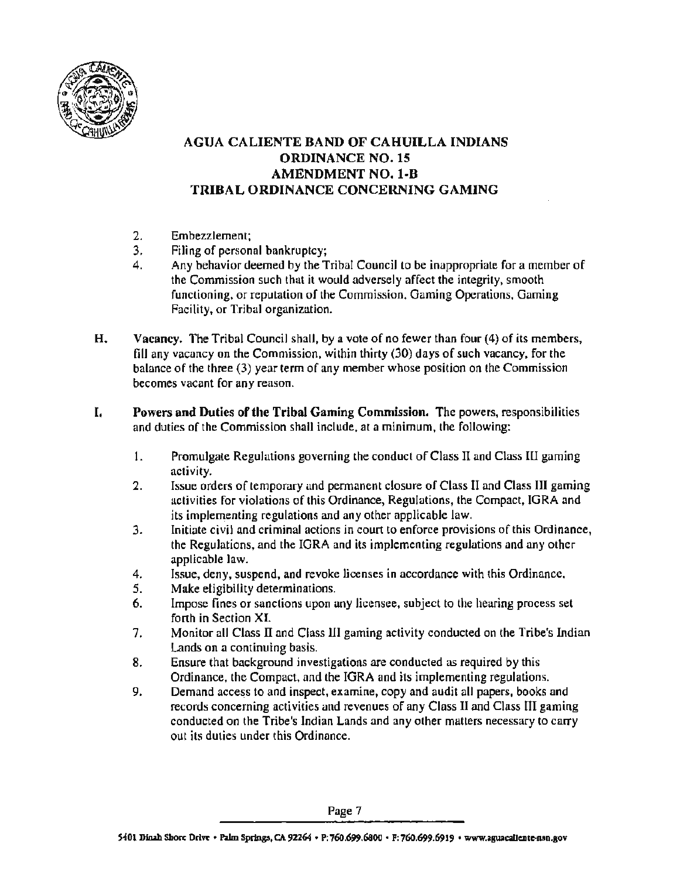

- 2. Embezzlement;
- 3. Filing of personal bankruptcy;
- 4. Any behavior deemed by the Tribal Council lo be inappropriate for a member of the Commission such that it would adversely affect the integrity. smooth functioning. or reputation of the Commission. Gaming Operations. Gaming Facility. or Tribal organization.
- H. Vacancy. The Tribal Council shall, by a vote of no fewer than four (4) of its members, fill any vacancy on the Commission, wilhin thirty (30) days of such vacancy. for the balance of the three (3) year term of any member whose position on the Commission becomes vacant for any reason.
- I. Powers and Duties of the Tribal Gaming Commission. The powers, responsibilities and duties of the Commission shall include, at a minimum, the following:
	- I. Promulgate Regulations governing the conduct of Class II and Class ll1 gaming activity.
	- 2. Issue orders of temporary and permanent closure of Class II and Class III gaming activities for violations of this Ordinance, Regulations, the Compact, IGRA and its implementing regulations and any other applicable law.
	- 3. Initiate civil and criminal actions in court to enforce provisions of this Ordinance, the Regulations, and the IGRA and its implementing regulations and any other applicable Jaw.
	- 4. Issue, deny, suspend, and revoke licenses in accordance with this Ordinance.
	- *5.* Make eligibility determinations.
	- 6. Impose fines or sanctions upon any licensee, subject to the hearing process set forth in Section XI.
	- 7. Monitor all Class II and Class lll gaming activity conducted on the Tribe's Indian Lands on a continuing basis.
	- 8. Ensure that background investigations are conducted as required by this Ordinance, the Compact. nnd the IGRA and its implementing regulations.
	- 9. Demand access to and inspect, examine, copy and audit all papers, books and records concerning activities and revenues of any Class II and Class III gaming conducted on the Tribe's Indian Lands and any other matters necessary to carry out its duties under this Ordinance.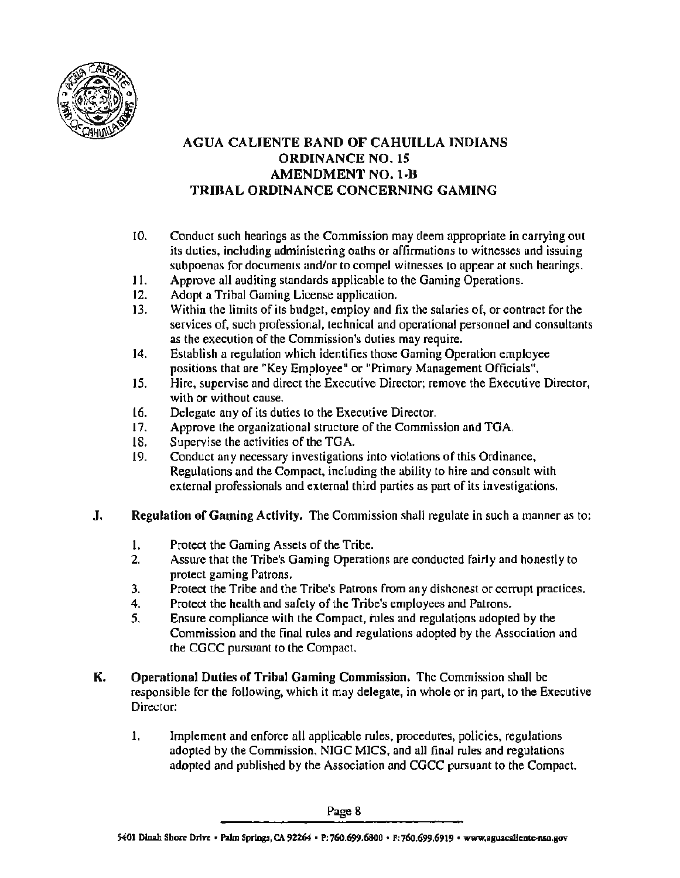

- 10. Conduct such hearings as the Commission may deem appropriate in carrying out its duties, including administering oaths or affirmations to witnesses and issuing subpoenas for documenls and/or to compel witnesses to appear at such hearings.
- 11. Approve all auditing standards applicable to the Gaming Operations.
- 12. Adopt a Tribal Gaming License application.
- 13. Within the limits of its budget, employ and fix the salaries of. or contract for the services of. such professional, technical and operational personnel and consultants as the execution of the Commission's duties may require.
- 14. Establish a regulation which identifies those Gaming Operation employee positions that are "Key Employee" or "Primary Management Officials".
- 15. Hire, supervise and direct the Executive Director; remove the Executive Director, with or without cause.
- l6. Delegate any of its duties to the Executive Director.
- 17. Approve the organizational structure of the Commission and TGA.
- 18. Supervise the activities of the TGA.<br>19. Conduct any necessary investigation
- Conduct any necessary investigations into violations of this Ordinance, Regulations and the Compact, including the ability to hire and consult with external professionals and external third parties as part of its investigations.
- J. Regulation of Gaming Activity. The Commission shall regulate in such a manner as to:
	- I. Protect the Gaming Assets of the Tribe.
	- 2. Assure that the Tribe's Gaming Operations are conducted fairly and honestly to protect gaming Patrons.
	- 3. Protect the Tribe and the Tribe's Patrons from any dishonest or corrupt practices.
	- 4. Protect the health and safety of the Tribe's employees and Patrons.
	- *5.* Ensure compliance with lhe Compact, rules and regulations adopted by the Commission and the final rules and regulations adopted by the Association and the CGCC pursuant to the Compact.
- K. Operational Duties of Tribal Gaming Commission. The Commission shall be responsible for the following. which it may delegate, in whole or in part. to the Executive Director:
	- J. Implement and enforce all applicable rules, procedures, policies, regulations adopted by the Commission. NIGC MICS, and all final rules and regulations adopted and published by the Association and CGCC pursuant to the Compact.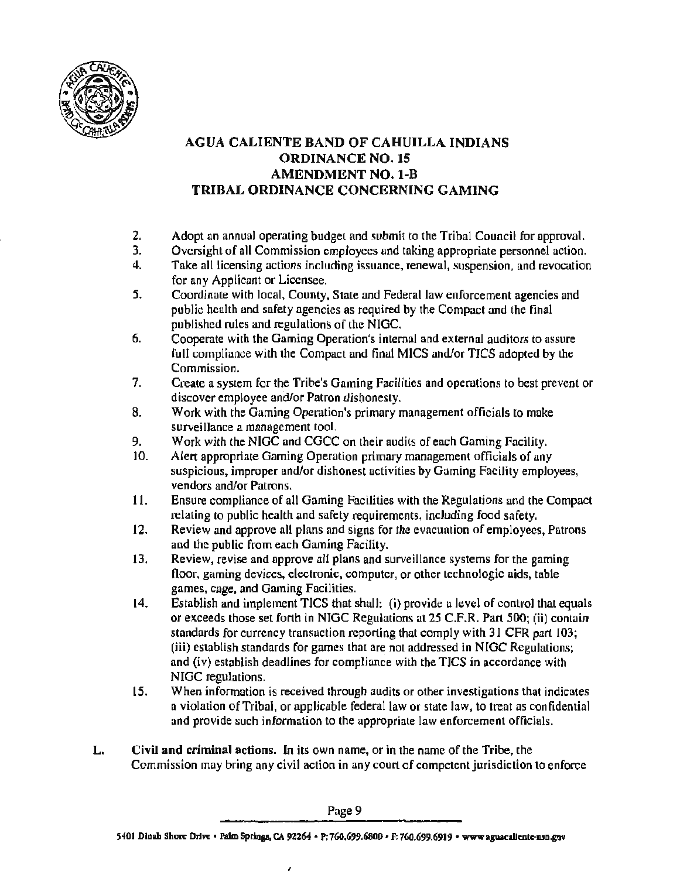

- 2. Adopt an annual operating budget and submit to the Tribal Council for approval.<br>3. Oversight of all Commission employees and taking appropriate personnel action.
- 3. Oversight of all Commission employees and taking appropriate personnel action.<br>4. Take all licensing actions including issuance renewal, suspension, and revocation
- Take all licensing actions including issuance, renewal, suspension, and revocation for any Applicant or Licensee.
- 5. Coordinate with local, County, State and Federal law enforcement agencies and public health and safety agencies as required by the Compact and the final published rules and regulations of the NIGC.
- 6. Cooperate with the Gaming Operation's internal and external auditors to assure full compliance with the Compact and final MICS and/or TICS adopted by the Commission.
- 7. Create a system for the Tribe's Gaming Facilities and operations to best prevent or discover employee and/or Patron dishonesty.
- 8. Work with the Gaming Operation's primary management officials lo make surveillance a management tool.
- 9. Work with the NIGC and CGCC on lheir audits of each Gaming Facility.
- JO. Alert appropriate Gaming Operation primary management officials of any suspicious, improper and/or dishonest activities by Gaming Facility employees, vendors and/or Patrons.
- 11. Ensure compliance of all Gaming Facilities with the Regulations and the Compact relating to public health and safety requirements, including food safety.
- 12. Review and approve alt plans and signs for the evacuation of employees, Patrons and the public from each Gaming Facility.
- 13. Review, revise and approve all plans and surveillance systems for the gaming floor, gaming devices, electronic, computer, or other technologic aids, table games, cage, and Gaming Facilities.
- 14. Establish and implement TICS that shall: (i) provide a level of control that equals or exceeds those set forth in NIGC Regulations at 25 C.F.R. Part 500; (ii) contain standards for currency transaction reporting that comply with 31 CFR part 103; (iii) establish standards for games that are not addressed in NfGC Regulations; and (iv) establish deadlines for compliance with the TICS in accordance with NIGC regulations.
- 15. When information is received through audits or other investigations that indicates a violation of Tribal, or applicable federal law or state law, to treat as confidential and provide such information to the appropriate Jaw enforcement officials.
- L. Civil and criminal actions. In its own name, or in the name of the Tribe, the Commission may bring any civil action in any court of competent jurisdiction to enforce

Page 9

٠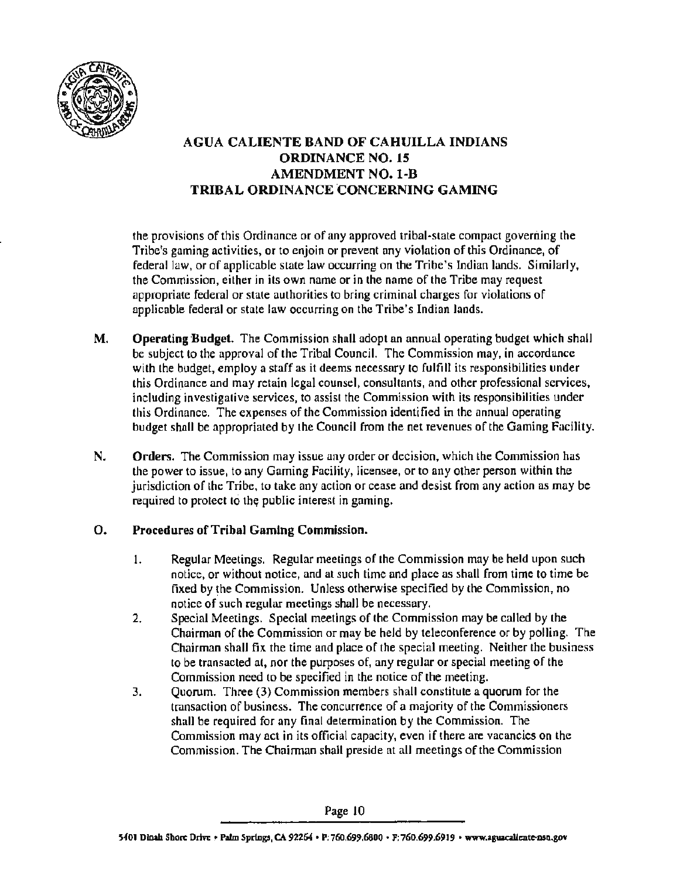

the provisions of this Ordinance or of any approved tribal-stale compact governing the Tribe's gaming activities, or to enjoin or prevent any violation of this Ordinance, of federal law, or of applicable state law occurring on the Tribe's Indian lands. Similarly, the Commission, either in its own name or in the name of the Tribe may request appropriate federal or state authorities to bring criminal charges for violations of applicable federal or state law occurring on the Tribe's Indian lands.

- M. Operating Budget. The Commission shall adopt an annual operating budget which shall be subject to the approval of the Tribal Council. The Commission may, in accordance with the budget, employ a staff as it deems necessary to fulfill its responsibilities under this Ordinance and may retain legal counsel, consultants, and other professional services, including investigative services, to assist the Commission with its responsibilities under this Ordinance. The expenses of the Commission identified in the annual operating budget shall be appropriated by the Council from the net revenues of the Gaming Facility.
- N. Orders. The Commission may issue any order or decision, which the Commission has the power to issue, to any Gaming Facility, licensee, or to any other person within the jurisdiction of the Tribe, to take any action or cease and desist from any action as may be required to protect to the public interest in gaming.

#### O. Procedures of Tribal Gaming Commission.

- 1. Regular Meetings. Regular meetings of the Commission may be held upon such notice. or without notice, and al such time and place as shall from time to time be fixed by the Commission. Unless otherwise specified by the Commission, no notice of such regular meetings shall be necessary.
- 2. Special Meetings. Special meetings of the Commission may be called by the Chairman of the Commission or may be held by teleconference or by polling. The Chairman shalJ fix. the time and place of the special meeting. Neirher the business to be transacted at, nor the purposes of, any regular or special meeting of the Commission need to be specified in the notice of the meeting.
- 3. Quorum. Three (3) Commission members shall constitute a quorum for the transaction of business. The concurrence of a majority of the Commissioners shall be required for any final determination by the Commission. The Commission may act in its official capacity, even if there are vacancies on the Commission. The Chairman shall preside at all meetings of the Commission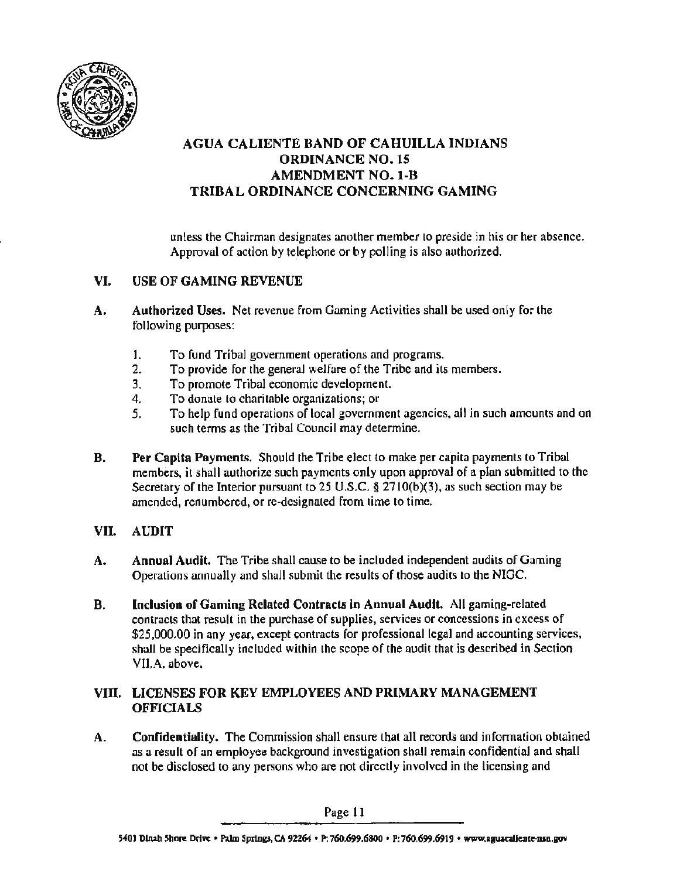

unless the Chairman designates another member lo preside in his or her absence. Approval of action by telephone or by polling is also authorized.

#### VI. USE OF GAMING REVENUE

- A. Authorized Uses. Net revenue from Gaming Activities shall be used only for the following purposes:
	- I. To fund Tribal government operations and programs.
	- 2. To provide for the general welfare of the Tribe and its members.
	- 3. To promote Tribal economic development.
	- 4. To donate to charitable organizations; or
	- *5.* To help fund operations of local government agencies. all in such amounts and on such terms as the Tribal Council may determine.
- B. Per Capita Payments. Should the Tribe elect to make per capita payments to Tribal members, it shall authorize such payments only upon approval of a plan submitted to the Secretary of the Interior pursuant to 25 U.S.C.  $\S$  2710(b)(3), as such section may be amended, renumbered, or re-designated from time to time.

#### VII. AUDIT

- A. Annual Audit. The Tribe shall cause to be included independent audits of Gaming Operations annually and shall submit the results of those audits to the NIGC.
- B. Inclusion of Gaming Related Contracts in Annual Audit. All gaming-related contracts that result in the purchase of supplies, services or concessions in excess of \$25,000.00 in any year, except contracts for professional legal and accounting services, shall be specifically included within the scope of the audit that is described in Section VII.A. above.

#### VIII. LICENSES FOR KEY EMPLOYEES AND PRIMARY MANAGEMENT **OFFICIALS**

A. Confidentiality. The Commission shall ensure that all records and information obtained as a result of an employee background investigation shall remain confidential and shall not be disclosed to any persons who are not direcrly involved in the licensing and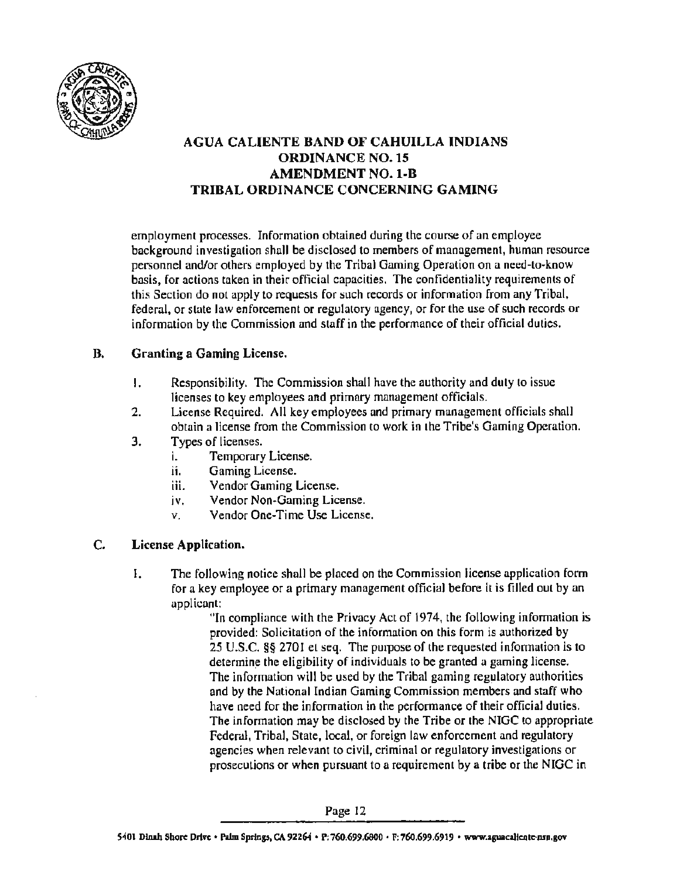

employment processes. Information obtained during the course of an employee background investigation shall be disclosed to members of management, human resource personnel and/or others employed by the Tribal Gaming Operation on a need-to·know basis. for actions taken in their official capacities. The confidentiality requirements of this Section do not apply to requests for such records or infonnation from any Tribal, federal, or state law enforcement or regulatory agency, or for the use of such records or information by the Commission and staff in the performance of their official duties.

#### B. Granting a Gaming License.

- I. Responsibility. The Commission shall have the authority and duty to issue licenses to key employees and primary management officials.
- 2. License Required. All key employees and primary management officials shal1 obtain a license from the Commission to work in the Tribe's Gaming Operation.
- 3. Types of licenses.
	- i. Temporary License.
	- ii. Gaming License.
	- iii. Vendor Gaming License.
	- iv. Vendor Non·Gaming License.
	- v. Vendor One-Time Use License.

#### C. License Application.

I. The following notice shall be placed on the Commission license application form for a key employee or a primary management official before it is filled out by an applicant:

"In compliance with the Privacy Act of 1974, the following information is provided: Solicitation of the information on this form is authorized by 25 U.S.C. §§ 2701 el seq. The purpose of the requested information is to determine the eligibility of individuals to be granted a gaming license. The information will be used by the Tribal gaming regulatory authorities and by the National Indian Gaming Commission members and staff who have need for the information in the performance of their official duties. The information may be disclosed by the Tribe or the NIGC to appropriate Federal, Tribal. State, local, or foreign law enforcement and regulatory agencies when relevant to civil, criminal or regulatory investigations or prosecutions or when pursuant to a requirement by a tribe or the NIGC in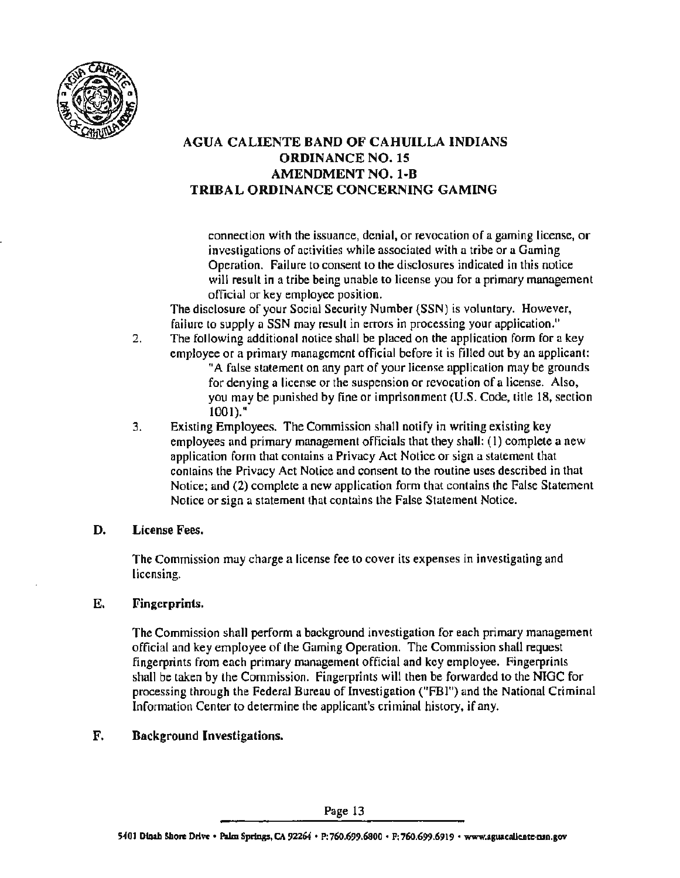

connection With the issuance, denial. or revocation of a gaming license. or investigations of activities while associated with a tribe or a Gaming Operation. Failure to consent to the disclosures indicated in this notice will result in a tribe being unable to license you for a primary management official or key employee position.

The disclosure of your Social Security Number (SSN) is voluntary. However, failure to supply a SSN may result in errors in processing your application."

- 2. The following additional notice shall be placed on the application form for a key employee or a primary management official before it is filled out by an applicant:
	- "A false statement on any part of your license application may be grounds for denying a license or the suspension or revocation of a license. Also, you may be punished by fine or imprisonment (U.S. Code, title 18, section 1001)."
- 3. Existing Employees. The Commission shall notify in writing existing key employees and primary management officials that they shall: (I) complete a new application form that comains a Privacy Act Notice or sign a statement that conlains the Privacy Act Notice and consent to the routine uses described in that Notice; and (2) complete a new application form that contains the False Statement Notice or sign a statement that contains the False Statement Notice.

#### D. License Fees.

The Commission may charge a license fee to cover its expenses in investigating and licensing.

#### E. Fingerprints.

The Commission shall perform a background investigation for each primary management official and key employee of the Gaming Operation. The Commission shall request fingerprints from each primary management official and key employee. Fingerprints shall be taken by the Commission. Fingerprints will then be forwarded to the NIGC for processing through the Federal Bureau of Investigation ("FBI") and the National Criminal Information Center to determine the applicant's criminal history. if any.

#### F. Background Investigations.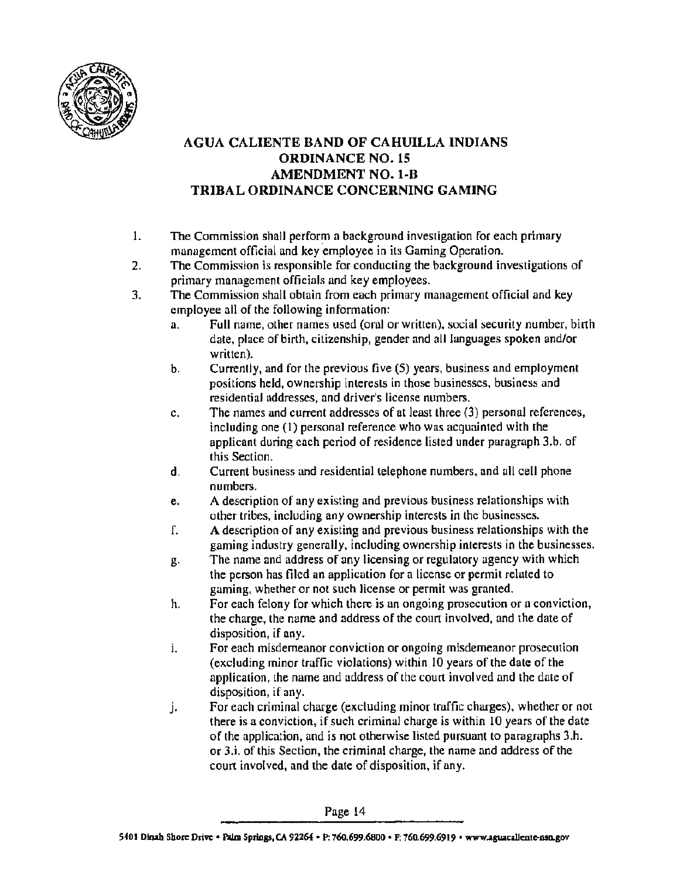

- l. The Commission shall perform a background investigation for each primary management official and key employee in its Gaming Operation.
- 2. The Commission is responsible for conducting the background investigations of primary management officials and key employees.
- 3. The Commission shall obtain from each primary management official and key employee all of the following information:
	- a. Full name, other names used (oral or written), social security number, birth date, place of birth. citizenship, gender and all languages spoken and/or written).
	- b. Currently, and for the previous five (5) years, business and employment positions held, ownership interests in those businesses, business and residential addresses, and driver's license numbers.
	- c. The names and current addresses of at least three (3) personal references. including one { 1) personal reference who was acquainted with the applicant during each period of residence listed under paragraph 3.b. of this Section.
	- d. Current business and residential telephone numbers. and all cell phone numbers.
	- e. A description of any existing and previous business relationships with other tribes, including any ownership interests in the businesses.
	- f. A description of any existing and previous business relationships with the gaming industry generally. including ownership interests in the businesses.
	- g. The name and address of any licensing or regulatory agency with which the person has filed an application for a license or permit related to gaming, whether or not such license or permit was granted.
	- h. For each felony for which there is an ongoing prosecution or a conviction. the charge, the name and address of the court involved, and the date of disposition, if any.
	- i. For each misdemeanor conviction or ongoing misdemeanor prosecution (excluding minor traffic violations) within 10 years of the date of the application, the name and address of the court involved and the date of disposition, if any.
	- j. For each criminal charge (excluding minor traffic charges), whether or not there is a conviction, if such criminal charge is within 10 years of the date of the application. and is not otherwise listed pursuant to paragraphs 3.h. or 3.i. of this Section, the criminal charge, the name and address of the court involved, and the date of disposition, if any.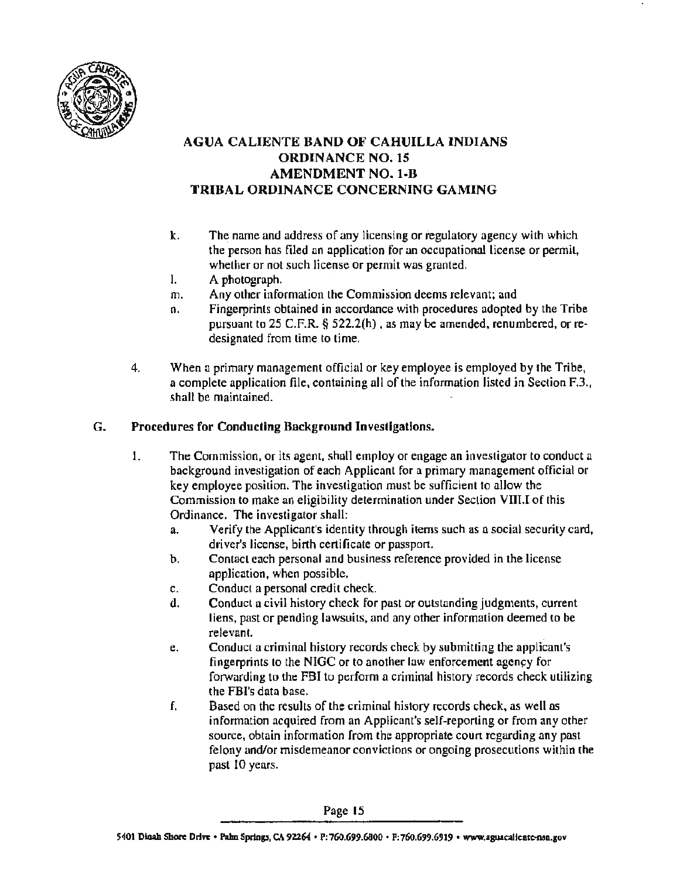

- k. The name and address of any licensing or regulatory agency with which the person has filed an application for an occupational license or permit, whether or not such license or permit was granted.
- I. A photograph.
- m. Any other information the Commission deems relevant; and
- n. Fingerprints obtained in accordance with procedures adopted by the Tribe pursuant to 25 C.F.R. § 522.2(h). as may be amended, renumbered, or redesignated from time to time.
- 4. When a primary management official or key employee is employed by the Tribe, a complete application file, containing all of the information listed in Section F.3., shall be maintained.

#### G. Procedures for Conducting Background Investigations.

- 1. The Commission, or its agent, shall employ or engage an investigator to conduct a background investigation of each Applicant for a primary management official or key employee position. The investigation must be sufficient to allow the Commission to make an eligibility determination under Section VIII.I of this Ordinance. The investigator shall:
	- a. Verify the Applicant's identity through items such as a social security card, driver's license, birth certificate or passport.
	- b. Contact each personal and business reference provided in the license application. when possible.
	- c. Conduct a personal credit check.
	- $d.$  Conduct a civil history check for past or outstanding judgments, current liens, past or pending lawsuits, and any other information deemed to be relevant.
	- e. Conduct a criminal history records check by submitting the applicant's fingerprints to the NIGC or to another law enforcement agency for forwarding to the FBI to perform a criminal history records check utilizing the FBI's data base.
	- f. Based on the results of the criminal history records check. as well as information acquired from an Applicant's self-reporting or from any other source. obtain information from the appropriate court regarding any past felony and/or misdemeanor convictions or ongoing prosecutions within the past 10 years.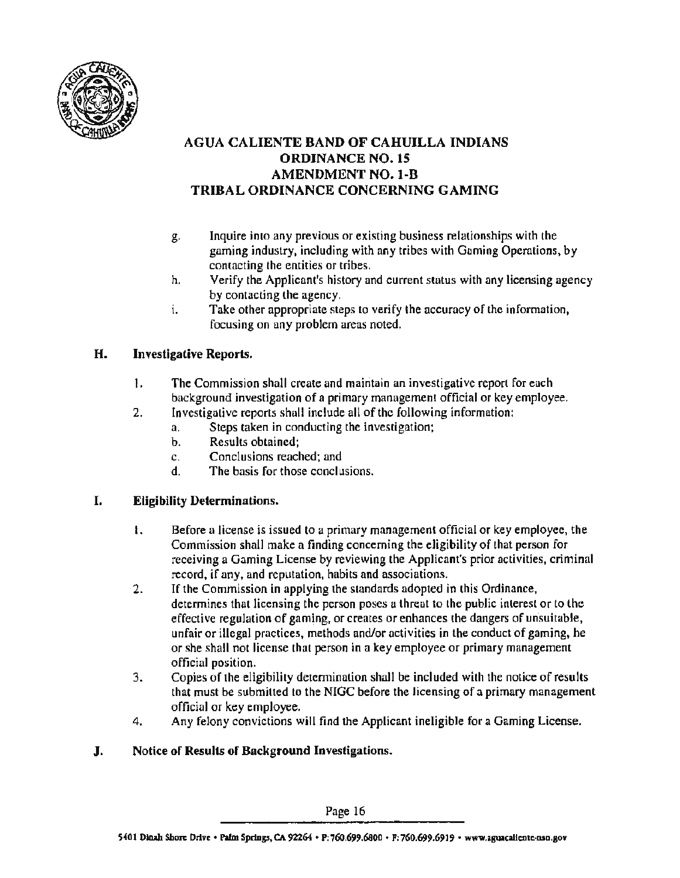

- g. Inquire into any previous or existing business relationships with the gaming industry, including with any tribes with Gaming Operations, by contacting the entities or tribes.
- h. Verify the Applicant's history and current status with any licensing agency by contacting the agency.
- i. Take other appropriate steps to verify the accuracy of the information, focusing on any problem areas noted.

#### H. Investigative Reports.

- I. The Commission shall create and maintain an investigative report for each background investigation of a primary management official or key employee.
- 2. Investigative reports shall include all of the following information:
	- a. Steps taken in conducting the investigation;
	- b. Results obtained;
	- c. Conclusions reached; and
	- d. The basis for those conclusions.

# I. Eligibility Determinations.

- 1. Before a license is issued to a primary management official or key employee, the Commission shall make a finding concerning the eligibility of that person for receiving a Gaming License by reviewing the Applicant's prior activities, criminal record, if any, and reputation, habits and associations.
- 2. If the Commission in applying the standards adopted in this Ordinance, determines that licensing the person poses a threat to the public interest or to the effective regulation of gaming, or creates or enhances the dangers of unsuitable, unfair or illegal practices, methods and/or activities in the conduct of gaming, he or she shall not license that person in a key employee or primary management official position.
- 3. Copies of the eligibility determination shall be included with the notice of results that must be submitted to the NIGC before the licensing of a primary management official or key employee.
- 4. Any felony convictions will find the Applicant ineligible for a Gaming License.

#### J. Notice of Results of Background Investigations.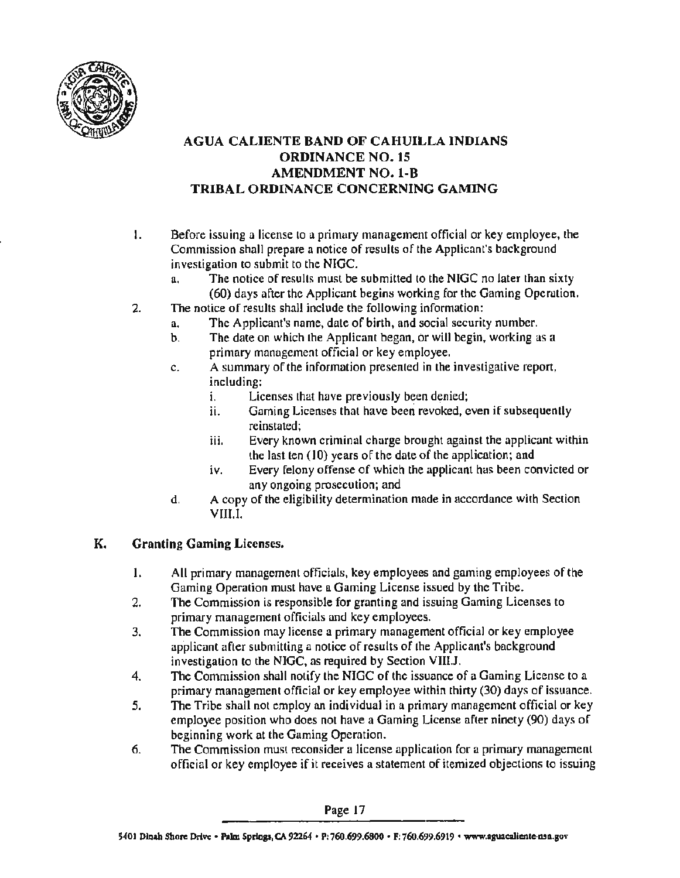

- I. Before issuing a license lo a primary management official or key employee, 1he Commission shall prepare a notice of results of the Applicant's background invesligation to submit to the NIGC.
	- a. The notice of resulls must be submitted to the NIGC no later than sixty (60) days after the Applicant begins working for the Gaming Operation.
- 2. The notice of results shall include the following information:
	- a. The Applicant's name, date of birth, and social security number.
	- b. The date on which the Applicant began, or will begin, working as a primary management official or key employee.
	- c. A summary of the information presented in the investigative report, including:
		- i. Licenses that have previously been denied;
		- ii. Gaming Licenses that have been revoked, even if subsequently reinstated;
		- iii. Every known criminal charge brought against the applicant within the last ten  $(10)$  years of the date of the application; and
		- iv. Every felony offense of which the applicant has been convicted or any ongoing prosecution; and
	- d. A copy of the eligibility determination made in accordance with Section VIII.I.

# K. Granting Gaming Licenses.

- 1. All primary management officials, key employees and gaming employees of the Gaming Operation must have a Gaming License issued by the Tribe.
- 2. The Commission is responsible for granting and issuing Gaming Licenses to primary management officials and key employees.
- 3. The Commission may license a primary management official or key employee applicant after submitting a notice of results of the Applicant's background investigation to the NIGC, as required by Section VIII.J.
- 4. The Commission shall notify the NIGC of the issuance of a Gaming License to a primary management official or key employee within thirty (30) days of issuance.
- 5. The Tribe shall not employ an individual in a primary management official or key employee position who does not have a Gaming License after ninety (90) days of beginning work at the Gaming Operation.
- 6. The Commission must reconsider a license application for a primary management official or key employee if it receives a statement of itemized objections to issuing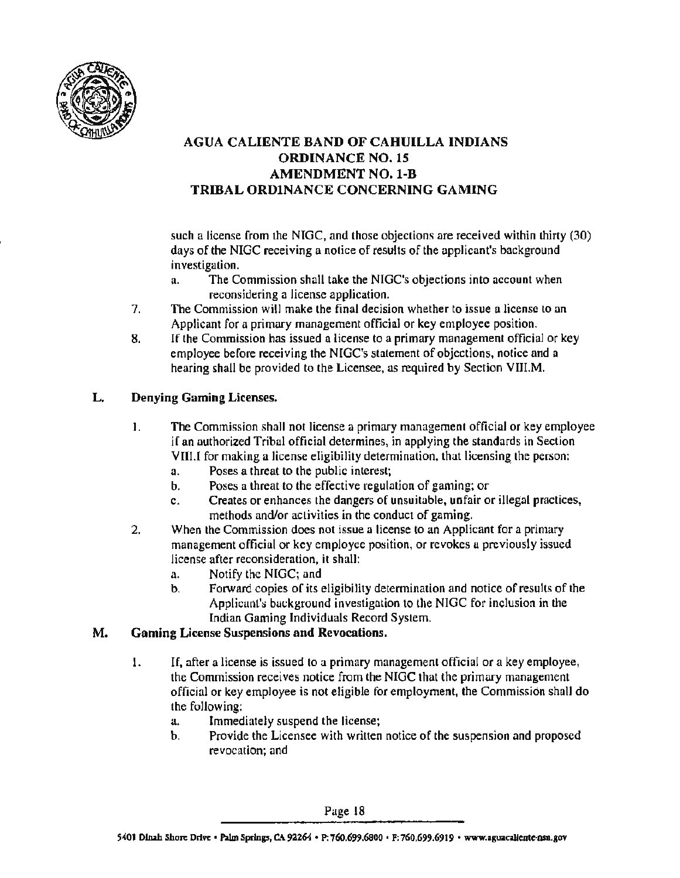

such a license from the NIGC, and those objections are received within thirty (30) days of the NIGC receiving a notice of results of the applicant's background investigation.

- a. The Commission shall take the NIGC's objections into account when reconsidering a license application.
- 7. The Commission will make the final decision whether to issue a license to an Applicant for a primary management official or key employee position.
- 8. If the Commission has issued a license to a primary management official or key employee before receiving the NIGC's statement of objections, notice and a hearing shall be provided to the Licensee, as required by Section VIII.M.

#### L. Denying Gaming Licenses.

- I. The Commission shall not license a primary management official or key employee if an authorized Tribal official determines, in applying the standards in Section VIII.I for making a license eligibility determination, that licensing the person:
	- a. Poses a threat to the public interest;
	- b. Poses a threat to the effective regulation of gaming; or
	- c. Creates or enhances the dangers of unsuitable. unfair or illegal practices, methods and/or activities in the conduct of gaming.
- 2. When the Commission does not issue a license to an Applicant for a primary management official or key employee position, or revokes a previously issued license after reconsideration, it shall:
	- a. Notify the NIGC; and
	- b. Forward copies of its eligibility determination and notice of results of the Applicant's background investigation to the NIGC for inclusion in the Indian Gaming Individuals Record System.

#### M. Gaming License Suspensions and Revocations.

- 1. If, after a license is issued to a primary management official or a key employee, the Commission receives notice from the NIGC that the primary management official or key employee is not eligible for employment, the Commission shall do the following:
	- a. Immediately suspend the license;
	- b. Provide the Licensee with written notice of the suspension and proposed revocation; and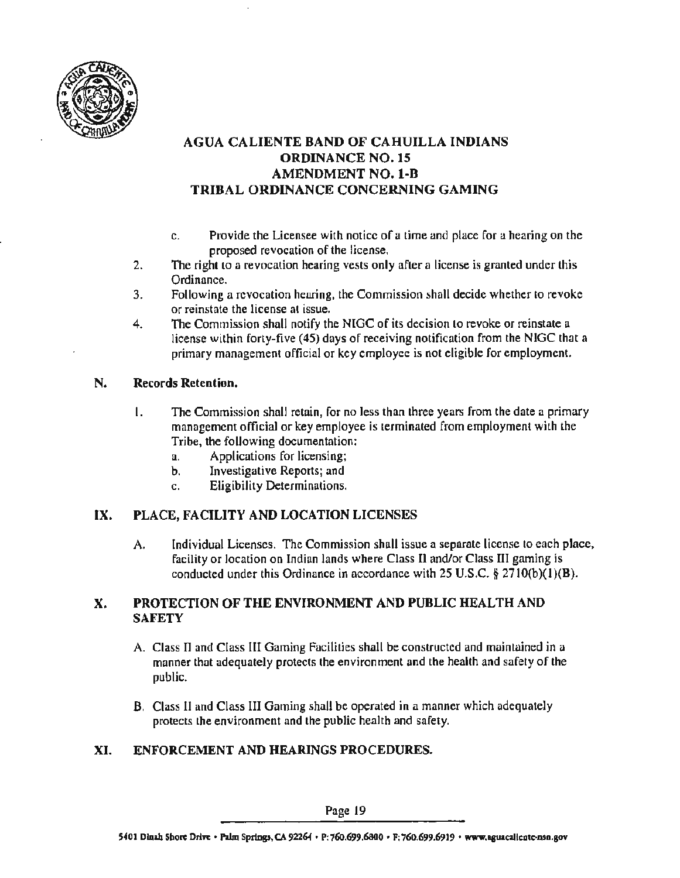

- c. Provide the Licensee with notice of a time and place for a hearing on the proposed revocation of the license.
- 2. The right to a revocation hearing vests only after a license is granted under this Ordinance.
- 3. Following a revocation henring, the Commission shall decide whether to revoke or reinstate the license al issue.
- 4. The Commission shall notify the NIGC of its decision lo revoke or reinstate a license within forly-five (45) days of receiving notification from the NIGC that a primary management official or key employee is not eligible for employment.

#### N. Records Retention.

- I. The Commission shall retain, for no Jess than three years from the date a primary management official or key employee is terminated from employment with the Tribe, the following documentation:
	- a. Applications for licensing;
	- b. Investigative Reports; and
	- c. Eligibility Determinations.

#### IX. PLACE, FACILITY AND LOCATION LICENSES

A. Individual Licenses. The Commission shall issue a separate license to each place. facility or location on Indian lands where Class 11 and/or Class Ill gaming is conducted under this Ordinance in accordance with 25 U.S.C.  $\S 2710(b)(1)(B)$ .

#### X. PROTECTION OF THE ENVIRONMENT AND PUBLIC HEALTH AND **SAFETY**

- A. Class Il and Class III Gaming Fucilities shall be constructed and maintained in a manner that adequately protects the environment and the health and safety of the public.
- B. Class 1I and Class III Gaming shall be operated in a manner which adequately protects the environment and the public health and safety.

#### XI. ENFORCEMENT AND HEARINGS PROCEDURES.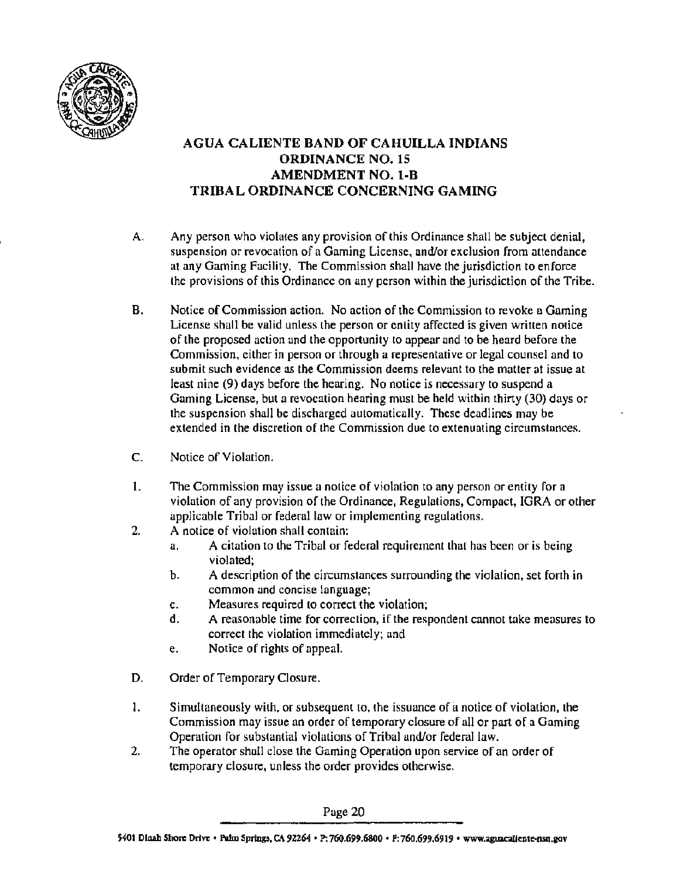

- A. Any person who violates any provision of this Ordinance shall be subject denial, suspension or revocation of a Gaming License, and/or exclusion from attendance at any Gaming Facility. The Commission shall have the jurisdiction to enforce the provisions of this Ordinance on any person within the jurisdiction of the Tribe.
- B. Notice of Commission action. No action of the Commission to revoke a Gaming License shall be valid unless the person or entity affected is given written notice of the proposed action and the opportunity to appear and to be heard before the Commission, either in person or through a representative or legal counsel and to submit such evidence as the Commission deems relevant to the matter at issue at least nine (9) days before the hearing. No notice is necessary to suspend a Gaming License, but a revocation hearing must be held within thirty (30) days or the suspension shall be discharged automatically. These deadlines may be extended in the discretion of the Commission due to extenuating circumstances.
- C. Notice of Violation.
- l. The Commission may issue a notice of violation to any per.son or entity for a violation of any provision of the Ordinance, Regulations. Compact, IGRA or other applicable Tribal or federal law or implementing regulations.
- 2. A notice of violation shall contain:
	- a. A citation to the Tribal or federal requirement that has been or is being violated;
	- b. A description of the circumstances surrounding the violation, set forth in common and concise language;
	- c. Measures required to correct the violation;
	- d; A reasonable time for correction, if the respondent cannot take measures to correct the violation immediately; and
	- e. Notice of rights of appeal.
- D. Order of Temporary Closure.
- I. Simultaneously with, or subsequent to, the issuance of a notice of violation, the Commission mny issue an order of temporary closure of all or part of a Gaming Operation for substantial violations of Tribal and/or federal law.
- 2. The operator shall close the Gaming Operation upon service of an order of temporary closure, unless the order provides otherwise.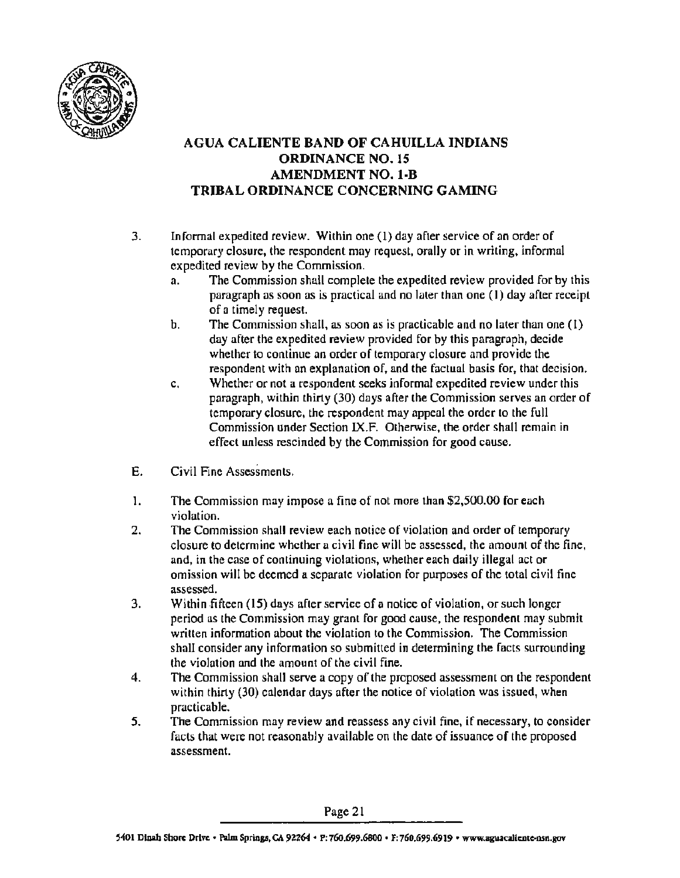

- 3. Informal expedited review. Within one (1) day after service of an order of temporary closure. the respondent moy request, orally or in writing. informal expedited review by the Commission.
	- a. The Commission shall complete the expedited review provided for by this paragraph as soon as is practical and no later than one ( l) day after receipt of a timely request.
	- b. The Commission shall, as soon as is practicable and no later than one (1) day after the expedited review provided for by this paragraph, decide whether to continue an order of temporary closure and provide the respondent with an explanation of, and the factual basis for, that decision.
	- c. Whether or not a respondent seeks informal expedited review under this paragraph, within thirty (30) days after the Commission serves an order of temporary closure. the respondent may appeal the order to the full Commission under Section IX.F. Otherwise. the order shall remain in effect unless rescinded by the Commission for good cause.
- E. Civil Fine Assessments.
- 1. The Commission may impose a fine of not more than \$2,500.00 for each violation.
- 2. The Commission shall review each notice of violation and order of temporary closure to determine whether a civil fine will be assessed, the amount of the fine, and, in the case of continuing violations, whether each daily illegal act or omission will be deemed a separate violation for purposes of the total civil fine assessed.
- 3. Within  $fifteen (15)$  days after service of a notice of violation, or such longer period as the Commission may grant for good cause, the respondent may submit written information about the violation to the Commission. The Commission shall consider any information so submitted in determining the facts surrounding the violation and the amount of the civil fine.
- 4. The Commission shall serve a copy of the proposed assessment on the respondent within thirty (30) calendar days after the notice of violation was issued, when practicable.
- *5.* The Commission may review and reassess any civil fine, if necessary, to consider facts that were not reasonabJy available on the date of issuance of the proposed assessment.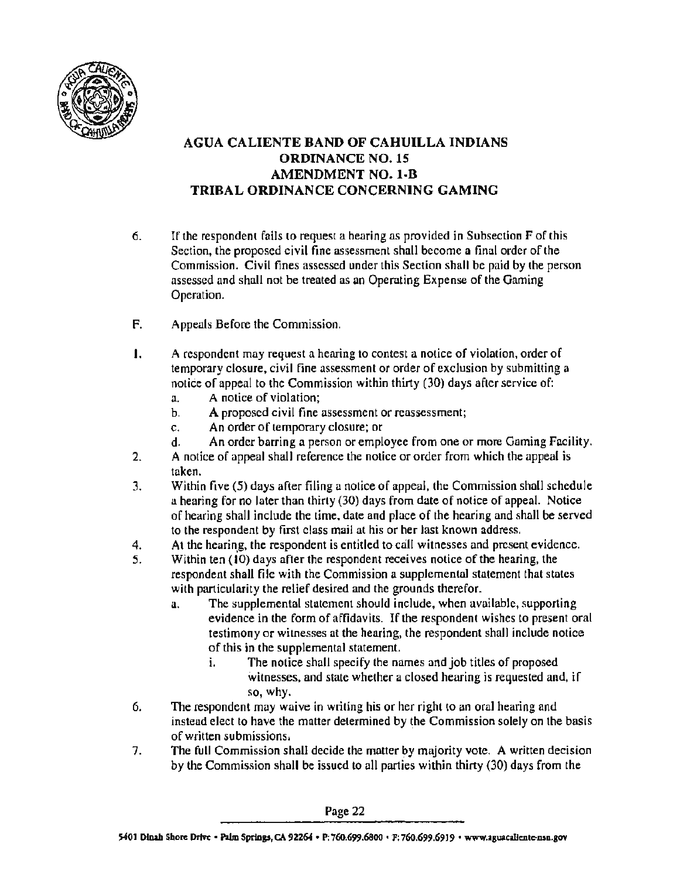

- 6. If the respondent fails to request a hearing as provided in Subsection F of this Section, the proposed civil fine assessment shall become a final order of the Commission. Civil fines assessed under this Section shall be paid by the person assessed and shall not be treated as an Operating Expense of the Gaming Operation.
- F. Appeals Before the Commission.
- I. A respondent may request a hearing to contest a notice of violation, order of temporary closure, civil fine assessment or order of exclusion by submitting a notice of appeal to the Commission within thirty (30) days after service of:
	- a. A notice of violation;
	- b. A proposed civil fine assessment or reassessment;
	- c. An order of temporary closure; or
	- d. An order barring a person or employee from one or more Gaming Facility.
- 2. A notice of appeal shall reference the notice or order from which the appeal is taken.
- 3. Within five (5) days after filing a notice of appeal, the Commission shall schedule a hearing for no later than thirty (30) days from date of notice of appeal. Notice of hearing shall include the time, date and place of the hearing and shall be served to the respondent by first class mail at his or her last known address.
- 4. At the hearing, the respondent is entitled to call witnesses and present evidence.
- 5. Within ten (IO) days after the respondent receives notice of the hearing, the respondent shall file with the Commission a supplemental statement that states with particularity the relief desired and the grounds therefor.
	- a. The supplemental statement should include, when available, supporting evidence in the form of affidavits. If the respondent wishes to present oral testimony or witnesses at the hearing, the respondent shall include notice of this in the supplemental statement.
		- i. The notice shall specify the names and job titles of proposed witnesses, and state whether a closed hearing is requested and, if so, why.
- 6. The respondent may waive in writing his or her right to an oral hearing and instead elect to have the matter determined by the Commission solely on the basis of written submissions,
- 7. The full Commission shall decide the matter by mujority vote. A written decision by the Commission shall be issued to all parties within thirty (30) days from the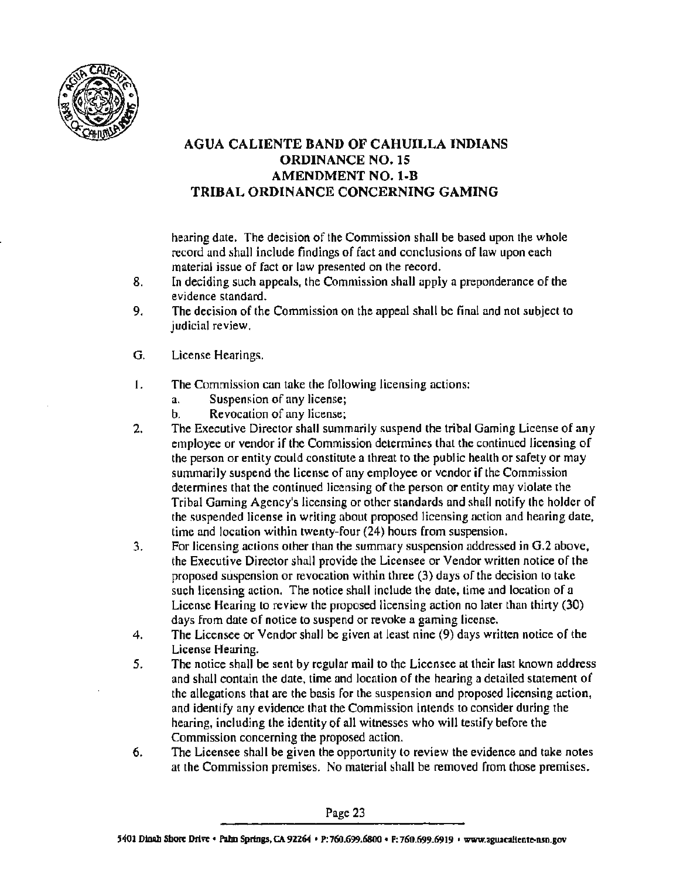

hearing date. The decision of the Commission shall be based upon the whole record and shall include findings of fact and conclusions of law upon each material issue of fact or law presented on the record.

- 8. ln deciding such appeals, the Commission shall apply a preponderance of the evidence standard.
- 9. The decision of the Commission on the appeal shall be final and not subject to judicial review.
- G. License Hearings.
- I. The Commission can take the following licensing actions:
	- a. Suspension of any license;
	- $b.$  Revocation of any license:
- 2. The Executive Director shall summarily suspend the tribal Gaming License of any employee or vendor if the Commission determines that the continued licensing of the person or entity could constitute a threat to the public health or safety or may summarily suspend the license of any employee or vendor if the Commission determines that the continued licensing of the person or entity may violate the Tribal Gaming Agency's licensing or other standards and shall notify the holder of the suspended license in writing about proposed licensing action and hearing date, time and location within twenty-four (24) hours from suspension.
- 3. For licensing actions other than the summary suspension addressed in G.2 above, the Executive Director shall provide the Licensee or Vendor written notice of the proposed suspension or revocation within three (3) days of the decision to take such licensing action. The notice shall include the date, time and location of a License Hearing to review the proposed licensing action no later than thirty (30) days from date of notice to suspend or revoke a gaming license.
- 4. The Licensee or Vendor shall be given at least nine (9) days written notice of the License Hearing.
- *5.* The notice shall be sent by regular mail to the Licensee at their last known address and shall contain the date. time and location of the hearing a detailed statement of the allegations that are the basis for the suspension and proposed licensing action, and identify any evidence that the Commission intends to consider during the hearing, including the identity of all witnesses who will testify before the Commission concerning the proposed action.
- 6. The Licensee shall be given the opportunity to review the evidence and take notes at the Commission premises. No material shall be removed from those premises.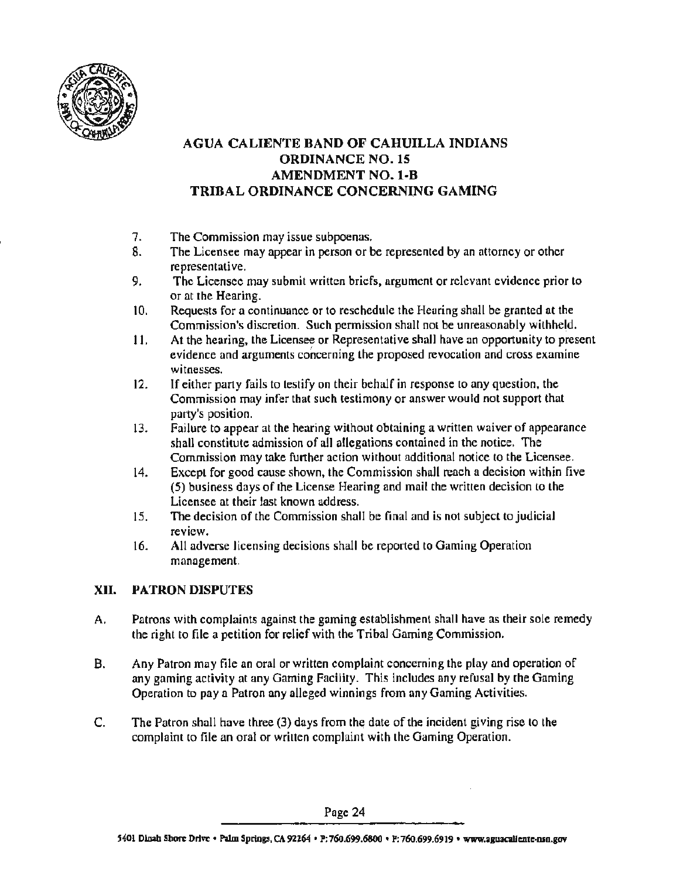

- 7. The Commission may issue subpoenas.
- 8. The Licensee may appear in person or be represented by an attorney or other representative.
- 9. The Licensee may submit written briefs, argument or relevant evidence prior to or at the Hearing.
- 10. Requests for a continuance or to reschedule the Hearing shall be granted at the Commission's discretion. Such permission shalt not be unreasonably withheld.
- 11. At the hearing. the Licensee or Representative shall have an opportunity to present evidence and arguments concerning Lhe proposed revocation and cross examine witnesses.
- 12. If either party fails to testify on their behalf in response to any question, the Commission may infer that such testimony or answer would not support that party's position.
- l3. Failure to appear at the hearing without obtaining a written waiver of appearance shall constitute admission of all allegations contained in the notice. The Commission may take further action without additional notice to the Licensee.
- l4. Except for good cause shown. the Commission shall reach a decision within five (5) business days of the License Hearing and mail the written decision to the Licensee at their last known address.
- 15. The decision of the Commission shall be final and is not subject to judicial review.
- 16. All adverse licensing decisions shall be reported to Gaming Operation management.

#### XII. PATRON DISPUTES

- A. Patrons with complaints against the gaming establishment shall have as their sole remedy the right to file a petition for relief with the Tribal Gaming Commission.
- B. Any Patron may file an oral or written complaint concerning the play and operation of any gaming activity at any Gaming Facility. This includes any refusal by the Gaming Operation to pay a Patron any alleged winnings from any Gaming Activities.
- C. The Patron shall have three (3) days from the date of the incident giving rise to the complaint to file an oral or written complaint with the Gaming Operation.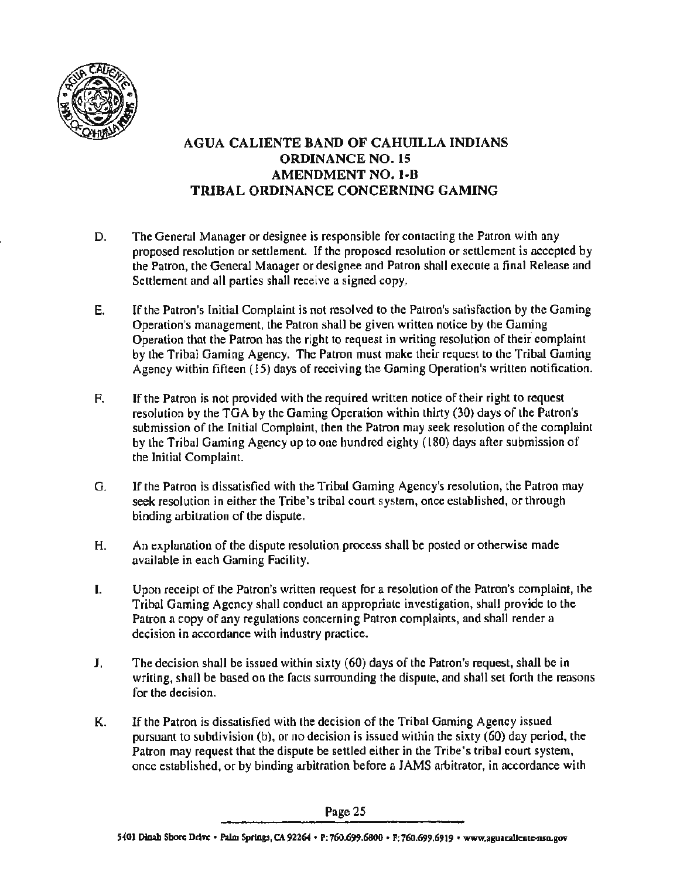

- D. The General Manager or designee is responsible for contacting the Patron with any proposed resolution or settlement. If the proposed resolution or settlement is accepted by the Patron, the General Manager or designee and Patron shall execute a final Release and Settlement and all parties shall receive a signed copy.
- E. If the Patron's Initial Complaint is not resolved to the Patron's satisfaction by the Gaming Operation's management, the Patron shall be given written notice by the Gaming Operation that the Patron has the right to request in writing resolution of theii complaint by the Tribal Gaming Agency. The Patron must make their request to the Tribal Gaming Agency within fifteen ( 15) days of receiving the Gaming Operation's written notification.
- F. If the Patron is not provided with the required written notice of their right to request resolution by the TOA by the Gaming Operation within thirty (30) days of the Patron's submission of the Initial Complaint, then the Patron may seek resolution of the complaint by the Tribal Gaming Agency up to one hundred eighty ( l 80) days after submission of the Initial Complaint.
- G. If the Patron is dissatisfied with the Tribal Gaming Agency's resolution, the Patron may seek resolution in either the Tribe's tribal court system, once established, or through binding arbitration of the dispute.
- H. An explanation of the dispute resolution.process shall be posted or otherwise made available in each Gaming Facility.
- I. Upon receipt of the Patron's written request for a resolution of the Patron's complaint, the Tribal Gaming Agency shall conduct an appropriate investigation, shall provide to the Patron a copy of any regulations concerning Patron complaints, and shall render a decision in accordance with industry practice.
- J. The decision shall be issued within sixty (60) days of the Patron's request, shall be in writing, shall be based on the facts surrounding the dispute, and shall set forth the reasons for the decision.
- K. If the Patron is dissatisfied with the decision of the Tribal Gaming Agency issued pursuant to subdivision (b), or no decision is issued within the sixty (60) day period, the Patron may request that the dispute be settled either in the Tribe's tribal court system, once established, or by binding arbitration before a JAMS arbitrator, in accordance with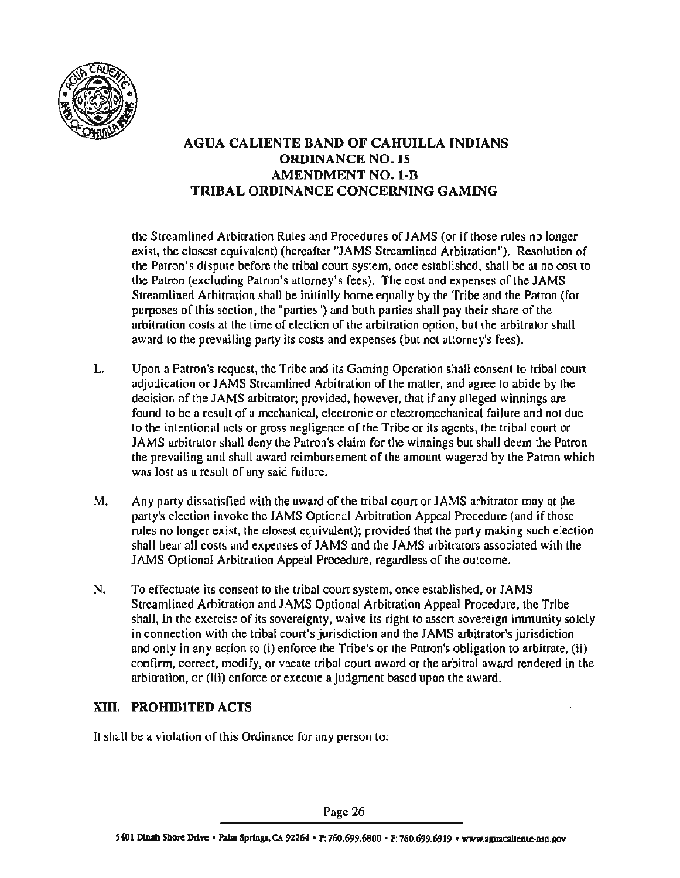

the Streamlined Arbitration Rules and Procedures of JAMS (or if those rules no longer exist, the closest equivalent) (hereafter "JAMS Streamlined Arbitration"). Resolution of the Patron's dispute before the tribal court system, once established, shall be at no cost to the Patron (excluding Patron's attorney's fees). The cost and expenses of the JAMS Streamlined Arbitration shall be initially borne equally by the Tribe and the Patron (for purposes of this section, the "parties") and both parties shall pay their share of the arbitration costs at the time of election of the arbitration option, but the arbitrator shall award to the prevailing party its costs and expenses (but not attorney's fees).

- L. Upon a Patron's request, the Tribe and its Gaming Operation shall consent to tribal court adjudication or JAMS Streamlined Arbitration of the matter, and agree to abide by the decision of lhe JAMS arbitmtor; provided, however. that if any alleged winnings are found to be a result of a mechanical, electronic or electromechanical failure and not due to the intentional acts or gross negligence of the Tribe or its agents, the tribal court or JAMS arbitrator shall deny the Patron's claim for the winnings but shall deem the Patron the prevailing and shall award reimbursement of the amount wagered by the Patron which was lost as a result of any said failure.
- M. Any party dissatisfied with the award of the tribal court or JAMS arbitrator may at the party's election invoke the JAMS Optional Arbitration Appeal Procedure (and ff those rules no longer exist, the closest equivalent); provided that the pany making such election shall bear all costs and expenses of JAMS and the JAMS arbitrators associated with the JAMS Optional Arbitration Appeal Procedure, regardless of the outcome.
- N. To effectuate its consent to the tribal court system, once established, or JAMS Streamlined Arbitration and JAMS Optional Arbitration Appeal Procedure, the Tribe shall, in the exercise of its sovereignty, waive its right to assert sovereign immunity solely in connection with the tribal court's jurisdiction and the JAMS arbitrator's jurisdiction and only in any action to (i) enforce the Tribe's or the Patron's obligation to arbitrate, (ii) confirm, correct, modify, or vacate tribal court award or the arbitral award rendered in the arbitration, or (iii) enforce or execute a judgment based upon the award.

# XIII. PROHIBITED ACTS

It shall be a violation of this Ordinance for any person to: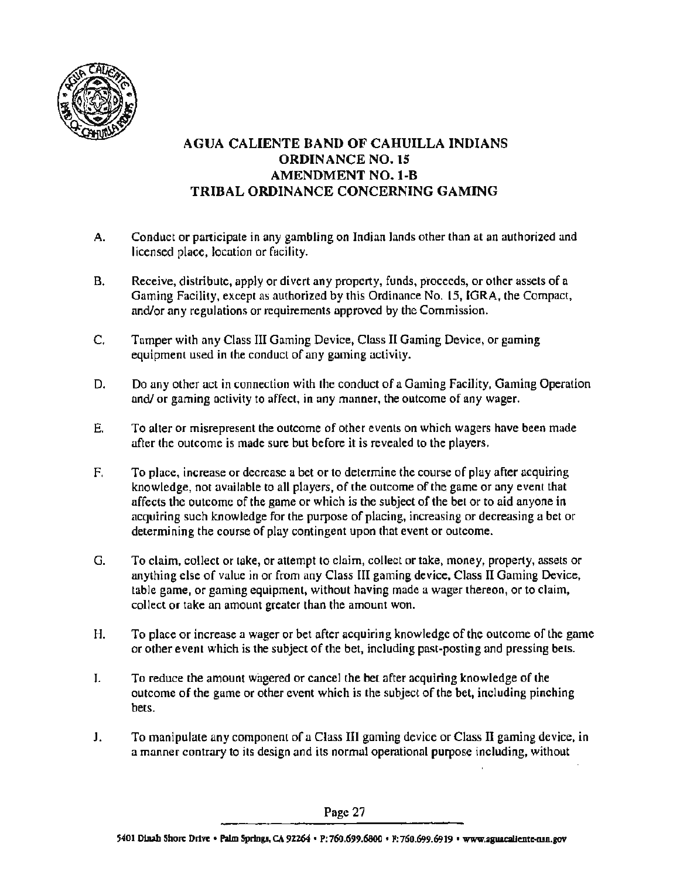

- A. Conduct or participate in any gambling on Indian lands other than at an authorized and licensed place, location or facility.
- B. Receive, distribute, apply or divert any property, funds, proceeds, or other assets of a Gaming Facility, except as authorized by this Ordinance No. 15, IGRA, the Compact, and/or any regulations or requirements approved by the Commission.
- C. Tamper with any Class III Gaming Device, Class II Gaming Device, or gaming equipment used in the conduct of any gaming aclivity.
- D. Do any other act in connection with the conduct of a Gaming Facility, Gaming Operation and/ or gaming activity to affect, in any manner, the outcome of any wager.
- E. To alter or misrepresent the outcome of other events on which wagers have been made after the outcome is made sure but before it is revealed to the players.
- F. To place, increase or decrease a bet or to determine the course of play after acquiring knowledge, not available to all players, of the outcome of the game or any event that affects the outcome of the game or which is the subject of the bet or to aid anyone in acquiring such knowledge for the purpose of placing, increasing or decreasing a bet or determining the course of play contingent upon that event or outcome.
- G. To claim. collect or take, or attempt to claim, collect or take, money, property, assets or anything else of value in or from any Class III gaming device, Class II Gaming Device, table game, or gaming equipment, without having made a wager thereon, or to claim, collect or take an amount greater than the amount won.
- H. To place or increase a wager or bet after acquiring knowledge of the outcome of the game or other event which is the subject of the bet, including past-posting and pressing bets.
- I. To reduce the amount wagered or cancel the bet after acquiring knowledge of the outcome of the game or other event which is the subject of the bet, including pinching bets.
- J. To manipulate any component of a Class III gaming device or Class II gaming device, in a manner contrary to its design and its normal operational purpose including, without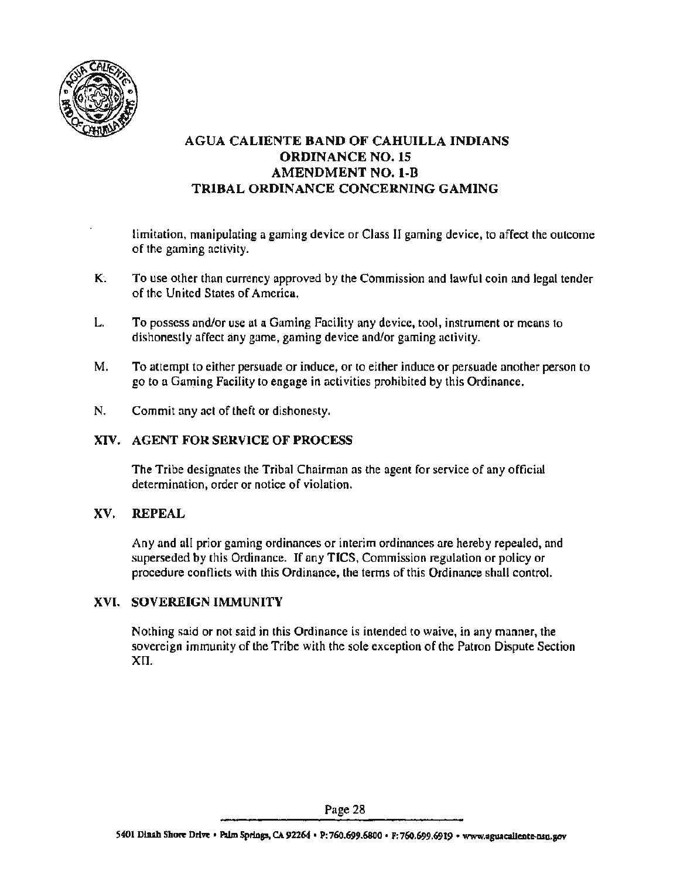

limitation, manipulating a gaming device or Class II gaming device, to affect the outcome of the gaming activity.

- K. To use other than currency approved by the Commission and lawful coin and legal tender of the United States of America.
- L. To possess and/or use at a Gaming Facility any device, tool, instrument or means to dishonestly affect any game, gaming device and/or gaming activity.
- M. To attempt to either persuade or induce, or to either induce or persuade another person to go to a Gaming Facility to engage in activities prohibited by this Ordinance.
- N. Commit any act of theft or dishonesty.

#### XIV. AGENT FOR SERVICE OF PROCESS

The Tribe designates the Tribal Chairman as the agent for service of any official determination, order or notice of violation.

#### XV. REPEAL

Any and all prior gaming ordinances or interim ordinances are hereby repealed, and superseded by this Ordinance. If any TICS, Commission regulation or policy or procedure conflicts with this Ordinance, the terms of this Ordinance shall control.

#### XVI. SOVEREIGN IMMUNITY

Nothing said or not said in this Ordinance is intended to waive, in any manner, the sovereign immunity of the Tribe with the sole exception of the Patron Dispute Section xn.